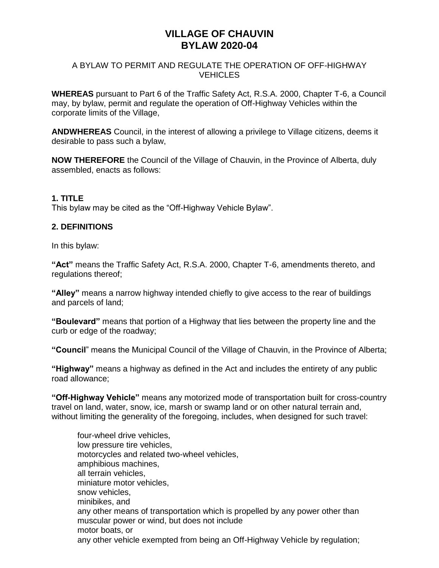# **VILLAGE OF CHAUVIN BYLAW 2020-04**

#### A BYLAW TO PERMIT AND REGULATE THE OPERATION OF OFF-HIGHWAY **VEHICLES**

**WHEREAS** pursuant to Part 6 of the Traffic Safety Act, R.S.A. 2000, Chapter T-6, a Council may, by bylaw, permit and regulate the operation of Off-Highway Vehicles within the corporate limits of the Village,

**ANDWHEREAS** Council, in the interest of allowing a privilege to Village citizens, deems it desirable to pass such a bylaw,

**NOW THEREFORE** the Council of the Village of Chauvin, in the Province of Alberta, duly assembled, enacts as follows:

## **1. TITLE**

This bylaw may be cited as the "Off-Highway Vehicle Bylaw".

## **2. DEFINITIONS**

In this bylaw:

**"Act"** means the Traffic Safety Act, R.S.A. 2000, Chapter T-6, amendments thereto, and regulations thereof;

**"Alley"** means a narrow highway intended chiefly to give access to the rear of buildings and parcels of land;

**"Boulevard"** means that portion of a Highway that lies between the property line and the curb or edge of the roadway;

**"Council**" means the Municipal Council of the Village of Chauvin, in the Province of Alberta;

**"Highway"** means a highway as defined in the Act and includes the entirety of any public road allowance;

**"Off-Highway Vehicle"** means any motorized mode of transportation built for cross-country travel on land, water, snow, ice, marsh or swamp land or on other natural terrain and, without limiting the generality of the foregoing, includes, when designed for such travel:

four-wheel drive vehicles, low pressure tire vehicles, motorcycles and related two-wheel vehicles, amphibious machines, all terrain vehicles, miniature motor vehicles, snow vehicles, minibikes, and any other means of transportation which is propelled by any power other than muscular power or wind, but does not include motor boats, or any other vehicle exempted from being an Off-Highway Vehicle by regulation;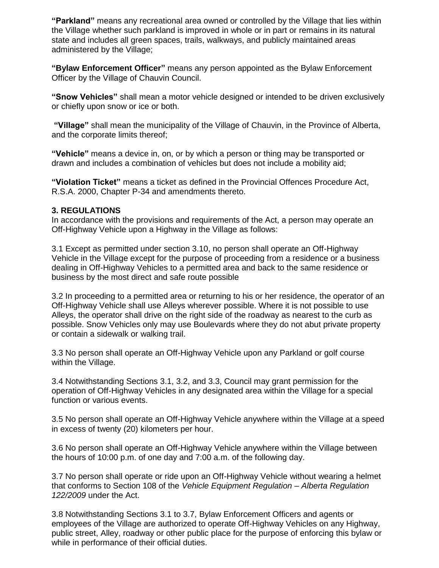**"Parkland"** means any recreational area owned or controlled by the Village that lies within the Village whether such parkland is improved in whole or in part or remains in its natural state and includes all green spaces, trails, walkways, and publicly maintained areas administered by the Village;

**"Bylaw Enforcement Officer"** means any person appointed as the Bylaw Enforcement Officer by the Village of Chauvin Council.

**"Snow Vehicles"** shall mean a motor vehicle designed or intended to be driven exclusively or chiefly upon snow or ice or both.

**"Village"** shall mean the municipality of the Village of Chauvin, in the Province of Alberta, and the corporate limits thereof;

**"Vehicle"** means a device in, on, or by which a person or thing may be transported or drawn and includes a combination of vehicles but does not include a mobility aid;

**"Violation Ticket"** means a ticket as defined in the Provincial Offences Procedure Act, R.S.A. 2000, Chapter P-34 and amendments thereto.

#### **3. REGULATIONS**

In accordance with the provisions and requirements of the Act, a person may operate an Off-Highway Vehicle upon a Highway in the Village as follows:

3.1 Except as permitted under section 3.10, no person shall operate an Off-Highway Vehicle in the Village except for the purpose of proceeding from a residence or a business dealing in Off-Highway Vehicles to a permitted area and back to the same residence or business by the most direct and safe route possible

3.2 In proceeding to a permitted area or returning to his or her residence, the operator of an Off-Highway Vehicle shall use Alleys wherever possible. Where it is not possible to use Alleys, the operator shall drive on the right side of the roadway as nearest to the curb as possible. Snow Vehicles only may use Boulevards where they do not abut private property or contain a sidewalk or walking trail.

3.3 No person shall operate an Off-Highway Vehicle upon any Parkland or golf course within the Village.

3.4 Notwithstanding Sections 3.1, 3.2, and 3.3, Council may grant permission for the operation of Off-Highway Vehicles in any designated area within the Village for a special function or various events.

3.5 No person shall operate an Off-Highway Vehicle anywhere within the Village at a speed in excess of twenty (20) kilometers per hour.

3.6 No person shall operate an Off-Highway Vehicle anywhere within the Village between the hours of 10:00 p.m. of one day and 7:00 a.m. of the following day.

3.7 No person shall operate or ride upon an Off-Highway Vehicle without wearing a helmet that conforms to Section 108 of the *Vehicle Equipment Regulation – Alberta Regulation 122/2009* under the Act.

3.8 Notwithstanding Sections 3.1 to 3.7, Bylaw Enforcement Officers and agents or employees of the Village are authorized to operate Off-Highway Vehicles on any Highway, public street, Alley, roadway or other public place for the purpose of enforcing this bylaw or while in performance of their official duties.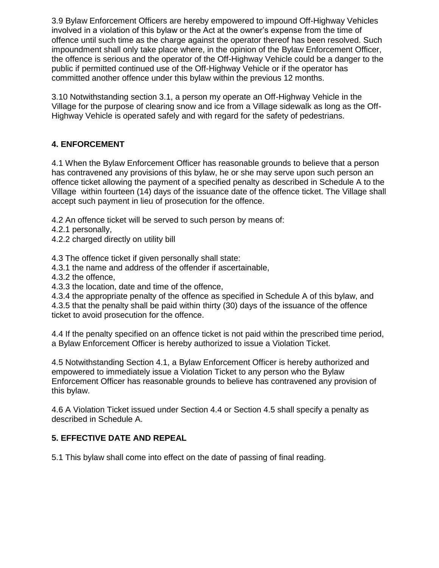3.9 Bylaw Enforcement Officers are hereby empowered to impound Off-Highway Vehicles involved in a violation of this bylaw or the Act at the owner's expense from the time of offence until such time as the charge against the operator thereof has been resolved. Such impoundment shall only take place where, in the opinion of the Bylaw Enforcement Officer, the offence is serious and the operator of the Off-Highway Vehicle could be a danger to the public if permitted continued use of the Off-Highway Vehicle or if the operator has committed another offence under this bylaw within the previous 12 months.

3.10 Notwithstanding section 3.1, a person my operate an Off-Highway Vehicle in the Village for the purpose of clearing snow and ice from a Village sidewalk as long as the Off-Highway Vehicle is operated safely and with regard for the safety of pedestrians.

## **4. ENFORCEMENT**

4.1 When the Bylaw Enforcement Officer has reasonable grounds to believe that a person has contravened any provisions of this bylaw, he or she may serve upon such person an offence ticket allowing the payment of a specified penalty as described in Schedule A to the Village within fourteen (14) days of the issuance date of the offence ticket. The Village shall accept such payment in lieu of prosecution for the offence.

4.2 An offence ticket will be served to such person by means of:

- 4.2.1 personally,
- 4.2.2 charged directly on utility bill

4.3 The offence ticket if given personally shall state:

- 4.3.1 the name and address of the offender if ascertainable,
- 4.3.2 the offence,
- 4.3.3 the location, date and time of the offence,

4.3.4 the appropriate penalty of the offence as specified in Schedule A of this bylaw, and 4.3.5 that the penalty shall be paid within thirty (30) days of the issuance of the offence ticket to avoid prosecution for the offence.

4.4 If the penalty specified on an offence ticket is not paid within the prescribed time period, a Bylaw Enforcement Officer is hereby authorized to issue a Violation Ticket.

4.5 Notwithstanding Section 4.1, a Bylaw Enforcement Officer is hereby authorized and empowered to immediately issue a Violation Ticket to any person who the Bylaw Enforcement Officer has reasonable grounds to believe has contravened any provision of this bylaw.

4.6 A Violation Ticket issued under Section 4.4 or Section 4.5 shall specify a penalty as described in Schedule A.

## **5. EFFECTIVE DATE AND REPEAL**

5.1 This bylaw shall come into effect on the date of passing of final reading.